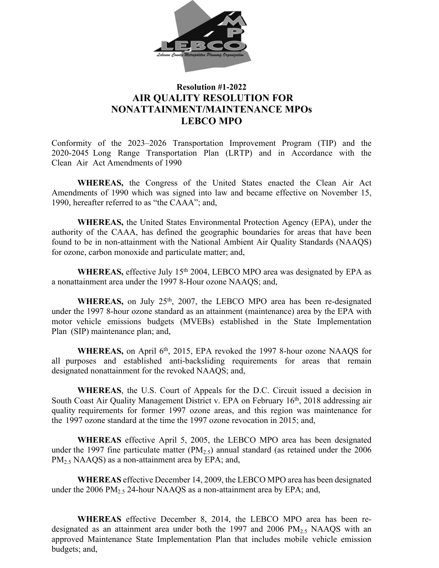

## **Resolution #1-2022 AIR QUALITY RESOLUTION FOR NONATTAINMENT/MAINTENANCE MPOs LEBCO MPO**

Conformity of the 2023–2026 Transportation Improvement Program (TIP) and the 2020-2045 Long Range Transportation Plan (LRTP) and in Accordance with the Clean Air Act Amendments of 1990

**WHEREAS,** the Congress of the United States enacted the Clean Air Act Amendments of 1990 which was signed into law and became effective on November 15, 1990, hereafter referred to as "the CAAA"; and,

**WHEREAS,** the United States Environmental Protection Agency (EPA), under the authority of the CAAA, has defined the geographic boundaries for areas that have been found to be in non-attainment with the National Ambient Air Quality Standards (NAAQS) for ozone, carbon monoxide and particulate matter; and,

WHEREAS, effective July 15<sup>th</sup> 2004, LEBCO MPO area was designated by EPA as a nonattainment area under the 1997 8-Hour ozone NAAQS; and,

WHEREAS, on July 25<sup>th</sup>, 2007, the LEBCO MPO area has been re-designated under the 1997 8-hour ozone standard as an attainment (maintenance) area by the EPA with motor vehicle emissions budgets (MVEBs) established in the State Implementation Plan (SIP) maintenance plan; and,

WHEREAS, on April 6<sup>th</sup>, 2015, EPA revoked the 1997 8-hour ozone NAAQS for all purposes and established anti-backsliding requirements for areas that remain designated nonattainment for the revoked NAAQS; and,

**WHEREAS**, the U.S. Court of Appeals for the D.C. Circuit issued a decision in South Coast Air Quality Management District v. EPA on February 16th, 2018 addressing air quality requirements for former 1997 ozone areas, and this region was maintenance for the 1997 ozone standard at the time the 1997 ozone revocation in 2015; and,

**WHEREAS** effective April 5, 2005, the LEBCO MPO area has been designated under the 1997 fine particulate matter ( $PM_{2.5}$ ) annual standard (as retained under the 2006  $PM<sub>25</sub> NAAQS$ ) as a non-attainment area by EPA; and,

**WHEREAS** effective December 14, 2009, the LEBCO MPO area has been designated under the 2006 PM<sub>2.5</sub> 24-hour NAAOS as a non-attainment area by EPA; and,

**WHEREAS** effective December 8, 2014, the LEBCO MPO area has been redesignated as an attainment area under both the 1997 and 2006 PM<sub>2.5</sub> NAAQS with an approved Maintenance State Implementation Plan that includes mobile vehicle emission budgets; and,